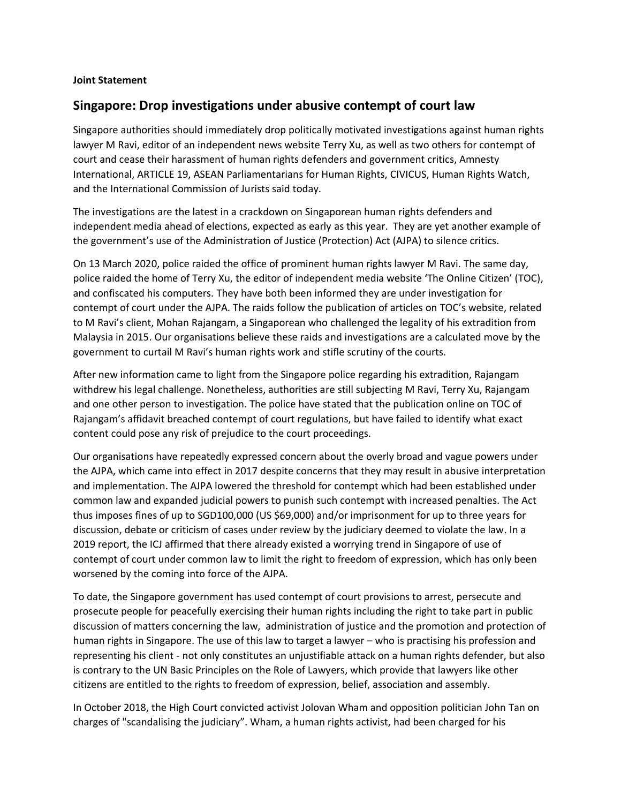## **Joint Statement**

## **Singapore: Drop investigations under abusive contempt of court law**

Singapore authorities should immediately drop politically motivated investigations against human rights lawyer M Ravi, editor of an independent news website Terry Xu, as well as two others for contempt of court and cease their harassment of human rights defenders and government critics, Amnesty International, ARTICLE 19, ASEAN Parliamentarians for Human Rights, CIVICUS, Human Rights Watch, and the International Commission of Jurists said today.

The investigations are the latest in a crackdown on Singaporean human rights defenders and independent media ahead of elections, expected as early as this year. They are yet another example of the government's use of the Administration of Justice (Protection) Act (AJPA) to silence critics.

On 13 March 2020, police raided the office of prominent human rights lawyer M Ravi. The same day, police raided the home of Terry Xu, the editor of independent media website 'The Online Citizen' (TOC), and confiscated his computers. They have both been informed they are under investigation for contempt of court under the AJPA. The raids follow the publication of articles on TOC's website, related to M Ravi's client, Mohan Rajangam, a Singaporean who challenged the legality of his extradition from Malaysia in 2015. Our organisations believe these raids and investigations are a calculated move by the government to curtail M Ravi's human rights work and stifle scrutiny of the courts.

After new information came to light from the Singapore police regarding his extradition, Rajangam withdrew his legal challenge. Nonetheless, authorities are still subjecting M Ravi, Terry Xu, Rajangam and one other person to investigation. The police have stated that the publication online on TOC of Rajangam's affidavit breached contempt of court regulations, but have failed to identify what exact content could pose any risk of prejudice to the court proceedings.

Our organisations have repeatedly expressed concern about the overly broad and vague powers under the AJPA, which came into effect in 2017 despite concerns that they may result in abusive interpretation and implementation. The AJPA lowered the threshold for contempt which had been established under common law and expanded judicial powers to punish such contempt with increased penalties. The Act thus imposes fines of up to SGD100,000 (US \$69,000) and/or imprisonment for up to three years for discussion, debate or criticism of cases under review by the judiciary deemed to violate the law. In a 2019 report, the ICJ affirmed that there already existed a worrying trend in Singapore of use of contempt of court under common law to limit the right to freedom of expression, which has only been worsened by the coming into force of the AJPA.

To date, the Singapore government has used contempt of court provisions to arrest, persecute and prosecute people for peacefully exercising their human rights including the right to take part in public discussion of matters concerning the law, administration of justice and the promotion and protection of human rights in Singapore. The use of this law to target a lawyer – who is practising his profession and representing his client - not only constitutes an unjustifiable attack on a human rights defender, but also is contrary to the UN Basic Principles on the Role of Lawyers, which provide that lawyers like other citizens are entitled to the rights to freedom of expression, belief, association and assembly.

In October 2018, the High Court convicted activist Jolovan Wham and opposition politician John Tan on charges of "scandalising the judiciary". Wham, a human rights activist, had been charged for his